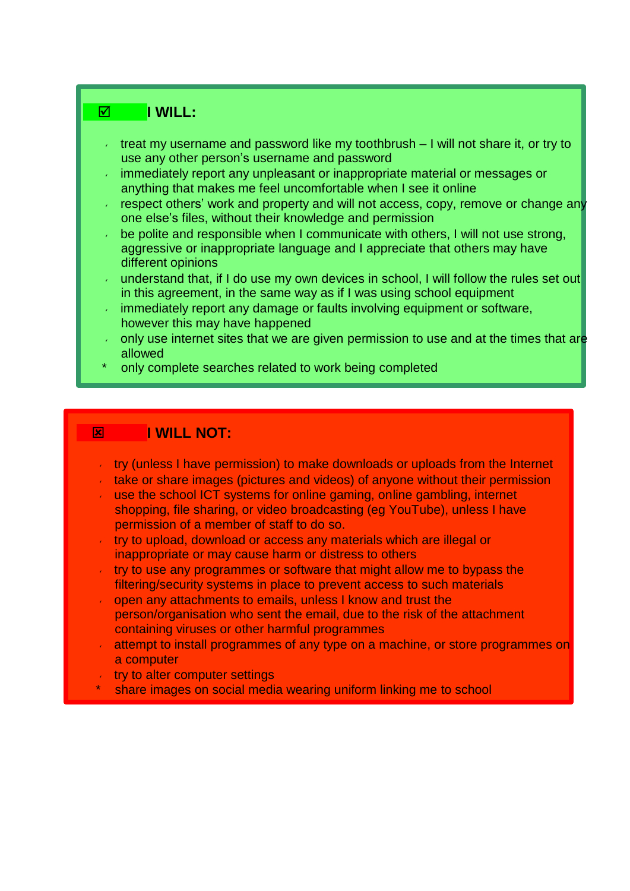## **I** WILL:

- treat my username and password like my toothbrush I will not share it, or try to use any other person's username and password
- immediately report any unpleasant or inappropriate material or messages or anything that makes me feel uncomfortable when I see it online
- respect others' work and property and will not access, copy, remove or change any one else's files, without their knowledge and permission
- be polite and responsible when I communicate with others, I will not use strong, aggressive or inappropriate language and I appreciate that others may have different opinions
- understand that, if I do use my own devices in school, I will follow the rules set out in this agreement, in the same way as if I was using school equipment
- immediately report any damage or faults involving equipment or software, however this may have happened
- only use internet sites that we are given permission to use and at the times that are allowed
- only complete searches related to work being completed

## **EXAMPLE I WILL NOT:**

- try (unless I have permission) to make downloads or uploads from the Internet
- take or share images (pictures and videos) of anyone without their permission
- use the school ICT systems for online gaming, online gambling, internet shopping, file sharing, or video broadcasting (eg YouTube), unless I have permission of a member of staff to do so.
- try to upload, download or access any materials which are illegal or inappropriate or may cause harm or distress to others
- try to use any programmes or software that might allow me to bypass the filtering/security systems in place to prevent access to such materials
- open any attachments to emails, unless I know and trust the  $\mathcal{L}^{\mathcal{L}}$ person/organisation who sent the email, due to the risk of the attachment containing viruses or other harmful programmes
- attempt to install programmes of any type on a machine, or store programmes on a computer
- try to alter computer settings  $\epsilon$
- share images on social media wearing uniform linking me to school